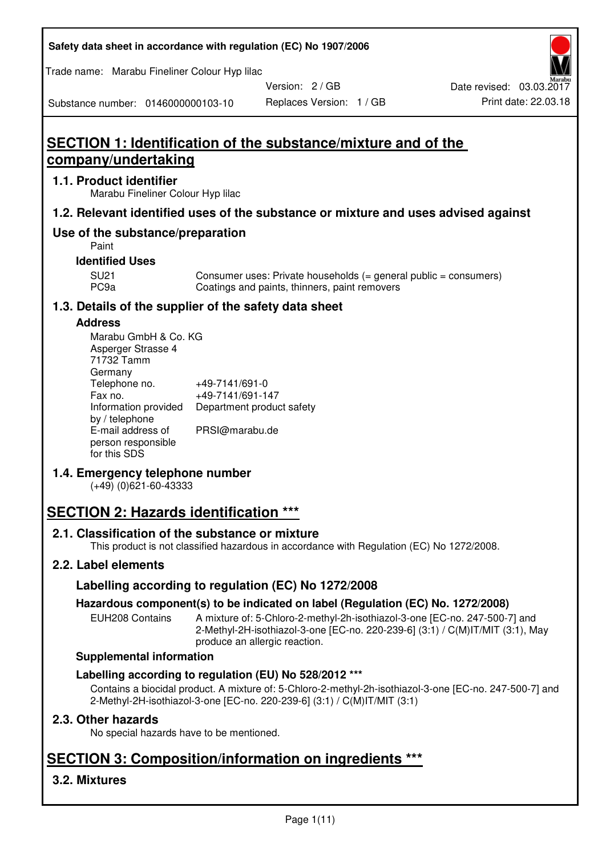| Safety data sheet in accordance with regulation (EC) No 1907/2006 |  |
|-------------------------------------------------------------------|--|
|-------------------------------------------------------------------|--|

Trade name: Marabu Fineliner Colour Hyp lilac

Version: 2 / GB

Replaces Version: 1 / GB Print date: 22.03.18 Date revised: 03.03.2017

Substance number: 0146000000103-10

# **SECTION 1: Identification of the substance/mixture and of the company/undertaking**

#### **1.1. Product identifier**

Marabu Fineliner Colour Hyp lilac

#### **1.2. Relevant identified uses of the substance or mixture and uses advised against**

## **Use of the substance/preparation**

Paint

#### **Identified Uses**

SU21 Consumer uses: Private households (= general public = consumers)<br>PC9a Coatings and paints, thinners, paint removers Coatings and paints, thinners, paint removers

#### **1.3. Details of the supplier of the safety data sheet**

#### **Address**

| Marabu GmbH & Co. KG |                           |
|----------------------|---------------------------|
| Asperger Strasse 4   |                           |
| 71732 Tamm           |                           |
| Germany              |                           |
| Telephone no.        | +49-7141/691-0            |
| Fax no.              | +49-7141/691-147          |
| Information provided | Department product safety |
| by / telephone       |                           |
| E-mail address of    | PRSI@marabu.de            |
| person responsible   |                           |
| for this SDS         |                           |

#### **1.4. Emergency telephone number**

(+49) (0)621-60-43333

# **SECTION 2: Hazards identification \*\*\***

#### **2.1. Classification of the substance or mixture**

This product is not classified hazardous in accordance with Regulation (EC) No 1272/2008.

#### **2.2. Label elements**

#### **Labelling according to regulation (EC) No 1272/2008**

#### **Hazardous component(s) to be indicated on label (Regulation (EC) No. 1272/2008)**

EUH208 Contains A mixture of: 5-Chloro-2-methyl-2h-isothiazol-3-one [EC-no. 247-500-7] and 2-Methyl-2H-isothiazol-3-one [EC-no. 220-239-6] (3:1) / C(M)IT/MIT (3:1), May produce an allergic reaction.

#### **Supplemental information**

#### **Labelling according to regulation (EU) No 528/2012 \*\*\***

Contains a biocidal product. A mixture of: 5-Chloro-2-methyl-2h-isothiazol-3-one [EC-no. 247-500-7] and 2-Methyl-2H-isothiazol-3-one [EC-no. 220-239-6] (3:1) / C(M)IT/MIT (3:1)

#### **2.3. Other hazards**

No special hazards have to be mentioned.

# **SECTION 3: Composition/information on ingredients \*\*\***

## **3.2. Mixtures**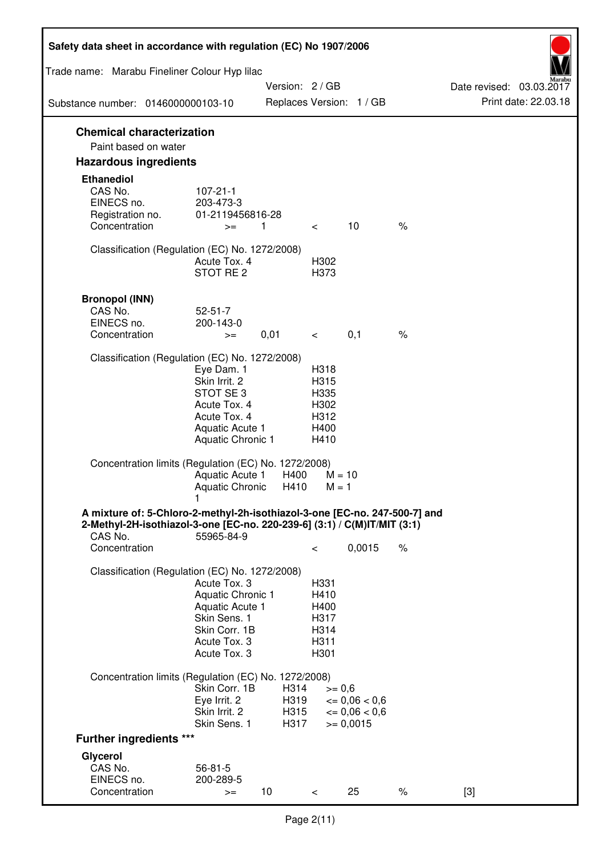| Safety data sheet in accordance with regulation (EC) No 1907/2006                                                                                                 |                                                                                                                       |                              |                                                      |                                                                  |      |                                                  |
|-------------------------------------------------------------------------------------------------------------------------------------------------------------------|-----------------------------------------------------------------------------------------------------------------------|------------------------------|------------------------------------------------------|------------------------------------------------------------------|------|--------------------------------------------------|
| Trade name: Marabu Fineliner Colour Hyp lilac                                                                                                                     |                                                                                                                       |                              |                                                      |                                                                  |      |                                                  |
| Substance number: 0146000000103-10                                                                                                                                |                                                                                                                       | Version: 2/GB                |                                                      | Replaces Version: 1 / GB                                         |      | Date revised: 03.03.2017<br>Print date: 22.03.18 |
|                                                                                                                                                                   |                                                                                                                       |                              |                                                      |                                                                  |      |                                                  |
| <b>Chemical characterization</b><br>Paint based on water                                                                                                          |                                                                                                                       |                              |                                                      |                                                                  |      |                                                  |
| <b>Hazardous ingredients</b>                                                                                                                                      |                                                                                                                       |                              |                                                      |                                                                  |      |                                                  |
| <b>Ethanediol</b><br>CAS No.<br>EINECS no.<br>Registration no.<br>Concentration                                                                                   | $107 - 21 - 1$<br>203-473-3<br>01-2119456816-28<br>$>=$                                                               | 1                            | $\overline{\phantom{0}}$                             | 10                                                               | $\%$ |                                                  |
|                                                                                                                                                                   |                                                                                                                       |                              |                                                      |                                                                  |      |                                                  |
| Classification (Regulation (EC) No. 1272/2008)                                                                                                                    | Acute Tox. 4<br>STOT RE 2                                                                                             |                              | H302<br>H373                                         |                                                                  |      |                                                  |
| <b>Bronopol (INN)</b><br>CAS No.                                                                                                                                  | $52 - 51 - 7$                                                                                                         |                              |                                                      |                                                                  |      |                                                  |
| EINECS no.                                                                                                                                                        | 200-143-0                                                                                                             |                              |                                                      |                                                                  |      |                                                  |
| Concentration                                                                                                                                                     | $>=$                                                                                                                  | 0,01                         | $\lt$ $\sim$                                         | 0,1                                                              | $\%$ |                                                  |
| Classification (Regulation (EC) No. 1272/2008)                                                                                                                    |                                                                                                                       |                              |                                                      |                                                                  |      |                                                  |
|                                                                                                                                                                   | Eye Dam. 1<br>Skin Irrit. 2<br>STOT SE3<br>Acute Tox. 4<br>Acute Tox. 4<br>Aquatic Acute 1<br>Aquatic Chronic 1       |                              | H318<br>H315<br>H335<br>H302<br>H312<br>H400<br>H410 |                                                                  |      |                                                  |
| Concentration limits (Regulation (EC) No. 1272/2008)                                                                                                              | Aquatic Acute 1<br>Aquatic Chronic $H410$ M = 1                                                                       | H400                         |                                                      | $M = 10$                                                         |      |                                                  |
| A mixture of: 5-Chloro-2-methyl-2h-isothiazol-3-one [EC-no. 247-500-7] and<br>2-Methyl-2H-isothiazol-3-one [EC-no. 220-239-6] (3:1) / C(M)IT/MIT (3:1)<br>CAS No. | 55965-84-9                                                                                                            |                              |                                                      |                                                                  |      |                                                  |
| Concentration                                                                                                                                                     |                                                                                                                       |                              | $\,<\,$                                              | 0,0015                                                           | $\%$ |                                                  |
| Classification (Regulation (EC) No. 1272/2008)                                                                                                                    | Acute Tox. 3<br>Aquatic Chronic 1<br>Aquatic Acute 1<br>Skin Sens. 1<br>Skin Corr. 1B<br>Acute Tox. 3<br>Acute Tox. 3 |                              | H331<br>H410<br>H400<br>H317<br>H314<br>H311<br>H301 |                                                                  |      |                                                  |
| Concentration limits (Regulation (EC) No. 1272/2008)                                                                                                              | Skin Corr. 1B<br>Eye Irrit. 2<br>Skin Irrit. 2<br>Skin Sens. 1                                                        | H314<br>H319<br>H315<br>H317 | $>= 0,6$                                             | $\epsilon = 0.06 < 0.6$<br>$\epsilon = 0.06 < 0.6$<br>$= 0,0015$ |      |                                                  |
| <b>Further ingredients ***</b>                                                                                                                                    |                                                                                                                       |                              |                                                      |                                                                  |      |                                                  |
| Glycerol<br>CAS No.<br>EINECS no.<br>Concentration                                                                                                                | $56 - 81 - 5$<br>200-289-5<br>$>=$                                                                                    | 10 <sup>°</sup>              | $\,<\,$                                              | 25                                                               | %    | $[3]$                                            |
|                                                                                                                                                                   |                                                                                                                       |                              |                                                      |                                                                  |      |                                                  |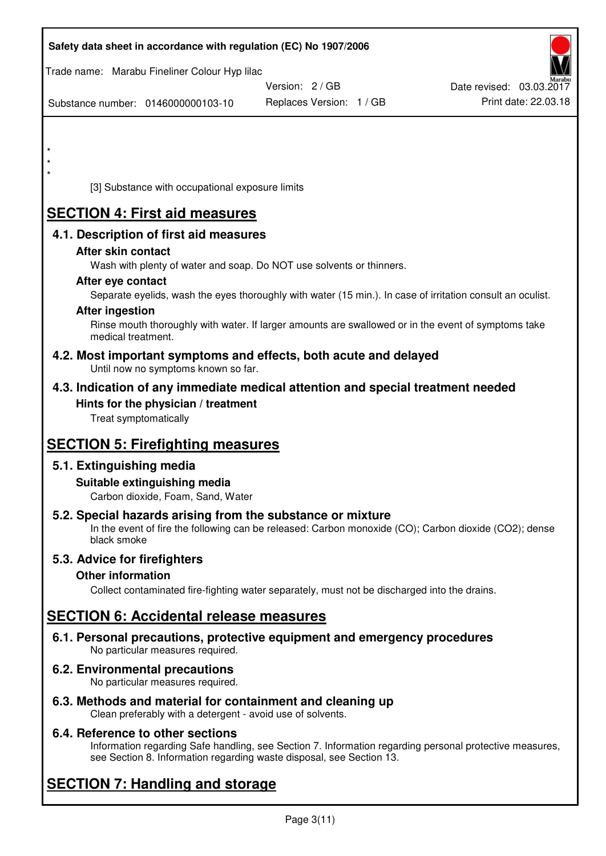| Safety data sheet in accordance with regulation (EC) No 1907/2006                                                       |                                                                                                            |                          |
|-------------------------------------------------------------------------------------------------------------------------|------------------------------------------------------------------------------------------------------------|--------------------------|
| Trade name: Marabu Fineliner Colour Hyp lilac                                                                           | Version: 2/GB                                                                                              | Date revised: 03.03.2017 |
| Substance number: 0146000000103-10                                                                                      | Replaces Version: 1 / GB                                                                                   | Print date: 22.03.18     |
|                                                                                                                         |                                                                                                            |                          |
| $\star$                                                                                                                 |                                                                                                            |                          |
| $\star$                                                                                                                 |                                                                                                            |                          |
| [3] Substance with occupational exposure limits                                                                         |                                                                                                            |                          |
| <b>SECTION 4: First aid measures</b>                                                                                    |                                                                                                            |                          |
| 4.1. Description of first aid measures                                                                                  |                                                                                                            |                          |
| After skin contact                                                                                                      |                                                                                                            |                          |
|                                                                                                                         | Wash with plenty of water and soap. Do NOT use solvents or thinners.                                       |                          |
| After eye contact                                                                                                       | Separate eyelids, wash the eyes thoroughly with water (15 min.). In case of irritation consult an oculist. |                          |
| <b>After ingestion</b>                                                                                                  |                                                                                                            |                          |
| medical treatment.                                                                                                      | Rinse mouth thoroughly with water. If larger amounts are swallowed or in the event of symptoms take        |                          |
| Until now no symptoms known so far.                                                                                     | 4.2. Most important symptoms and effects, both acute and delayed                                           |                          |
|                                                                                                                         | 4.3. Indication of any immediate medical attention and special treatment needed                            |                          |
| Hints for the physician / treatment<br>Treat symptomatically                                                            |                                                                                                            |                          |
| <b>SECTION 5: Firefighting measures</b>                                                                                 |                                                                                                            |                          |
| 5.1. Extinguishing media                                                                                                |                                                                                                            |                          |
| Suitable extinguishing media<br>Carbon dioxide, Foam, Sand, Water                                                       |                                                                                                            |                          |
| 5.2. Special hazards arising from the substance or mixture<br>black smoke                                               | In the event of fire the following can be released: Carbon monoxide (CO); Carbon dioxide (CO2); dense      |                          |
| 5.3. Advice for firefighters                                                                                            |                                                                                                            |                          |
| <b>Other information</b>                                                                                                |                                                                                                            |                          |
|                                                                                                                         | Collect contaminated fire-fighting water separately, must not be discharged into the drains.               |                          |
| <b>SECTION 6: Accidental release measures</b>                                                                           |                                                                                                            |                          |
| No particular measures required.                                                                                        | 6.1. Personal precautions, protective equipment and emergency procedures                                   |                          |
| 6.2. Environmental precautions<br>No particular measures required.                                                      |                                                                                                            |                          |
| 6.3. Methods and material for containment and cleaning up<br>Clean preferably with a detergent - avoid use of solvents. |                                                                                                            |                          |

## **6.4. Reference to other sections**

Information regarding Safe handling, see Section 7. Information regarding personal protective measures, see Section 8. Information regarding waste disposal, see Section 13.

# **SECTION 7: Handling and storage**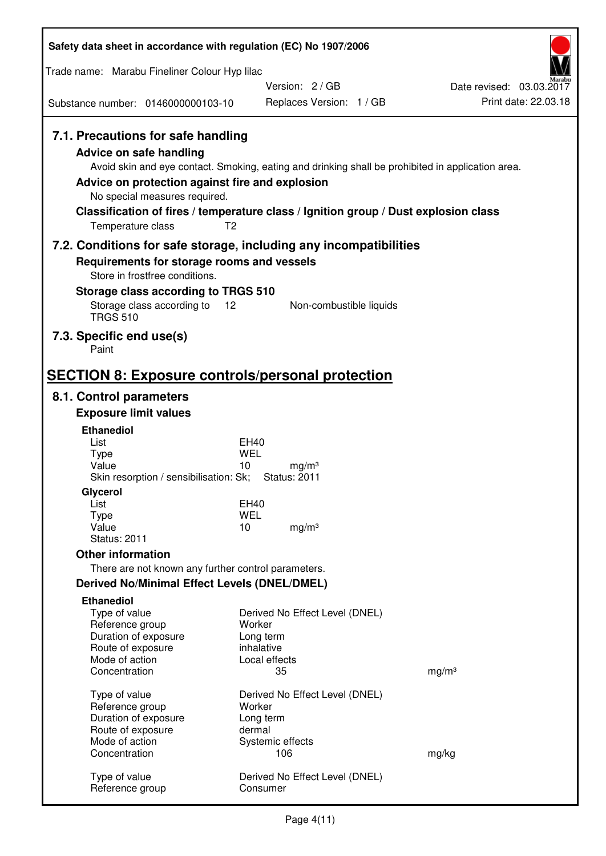| Safety data sheet in accordance with regulation (EC) No 1907/2006                                                                                                                                                                                                                                                                                                  |                         |                                          |                          |
|--------------------------------------------------------------------------------------------------------------------------------------------------------------------------------------------------------------------------------------------------------------------------------------------------------------------------------------------------------------------|-------------------------|------------------------------------------|--------------------------|
| Trade name: Marabu Fineliner Colour Hyp lilac                                                                                                                                                                                                                                                                                                                      |                         |                                          |                          |
|                                                                                                                                                                                                                                                                                                                                                                    |                         | Version: 2/GB                            | Date revised: 03.03.2017 |
| Substance number: 0146000000103-10                                                                                                                                                                                                                                                                                                                                 |                         | Replaces Version: 1 / GB                 | Print date: 22.03.18     |
| 7.1. Precautions for safe handling<br>Advice on safe handling<br>Avoid skin and eye contact. Smoking, eating and drinking shall be prohibited in application area.<br>Advice on protection against fire and explosion<br>No special measures required.<br>Classification of fires / temperature class / Ignition group / Dust explosion class<br>Temperature class | T <sub>2</sub>          |                                          |                          |
| 7.2. Conditions for safe storage, including any incompatibilities                                                                                                                                                                                                                                                                                                  |                         |                                          |                          |
| Requirements for storage rooms and vessels<br>Store in frostfree conditions.                                                                                                                                                                                                                                                                                       |                         |                                          |                          |
| Storage class according to TRGS 510                                                                                                                                                                                                                                                                                                                                |                         |                                          |                          |
| Storage class according to<br><b>TRGS 510</b>                                                                                                                                                                                                                                                                                                                      | 12                      | Non-combustible liquids                  |                          |
| 7.3. Specific end use(s)<br>Paint                                                                                                                                                                                                                                                                                                                                  |                         |                                          |                          |
| <b>SECTION 8: Exposure controls/personal protection</b>                                                                                                                                                                                                                                                                                                            |                         |                                          |                          |
| 8.1. Control parameters                                                                                                                                                                                                                                                                                                                                            |                         |                                          |                          |
| <b>Exposure limit values</b>                                                                                                                                                                                                                                                                                                                                       |                         |                                          |                          |
| <b>Ethanediol</b><br>List                                                                                                                                                                                                                                                                                                                                          | EH40                    |                                          |                          |
| <b>Type</b>                                                                                                                                                                                                                                                                                                                                                        | <b>WEL</b>              |                                          |                          |
| Value<br>Skin resorption / sensibilisation: Sk;                                                                                                                                                                                                                                                                                                                    | 10                      | mg/m <sup>3</sup><br><b>Status: 2011</b> |                          |
| Glycerol                                                                                                                                                                                                                                                                                                                                                           |                         |                                          |                          |
| List<br><b>Type</b>                                                                                                                                                                                                                                                                                                                                                | EH40<br><b>WEL</b>      |                                          |                          |
| Value                                                                                                                                                                                                                                                                                                                                                              | 10                      | mg/m <sup>3</sup>                        |                          |
| <b>Status: 2011</b>                                                                                                                                                                                                                                                                                                                                                |                         |                                          |                          |
| <b>Other information</b>                                                                                                                                                                                                                                                                                                                                           |                         |                                          |                          |
| There are not known any further control parameters.<br><b>Derived No/Minimal Effect Levels (DNEL/DMEL)</b>                                                                                                                                                                                                                                                         |                         |                                          |                          |
| <b>Ethanediol</b>                                                                                                                                                                                                                                                                                                                                                  |                         |                                          |                          |
| Type of value                                                                                                                                                                                                                                                                                                                                                      |                         | Derived No Effect Level (DNEL)           |                          |
| Reference group                                                                                                                                                                                                                                                                                                                                                    | Worker                  |                                          |                          |
| Duration of exposure<br>Route of exposure                                                                                                                                                                                                                                                                                                                          | Long term<br>inhalative |                                          |                          |
| Mode of action                                                                                                                                                                                                                                                                                                                                                     | Local effects           |                                          |                          |
| Concentration                                                                                                                                                                                                                                                                                                                                                      | 35                      |                                          | mg/m <sup>3</sup>        |
| Type of value                                                                                                                                                                                                                                                                                                                                                      |                         | Derived No Effect Level (DNEL)           |                          |
| Reference group<br>Duration of exposure                                                                                                                                                                                                                                                                                                                            | Worker<br>Long term     |                                          |                          |
| Route of exposure                                                                                                                                                                                                                                                                                                                                                  | dermal                  |                                          |                          |
| Mode of action<br>Concentration                                                                                                                                                                                                                                                                                                                                    | Systemic effects        | 106                                      |                          |
|                                                                                                                                                                                                                                                                                                                                                                    |                         |                                          | mg/kg                    |
| Type of value<br>Reference group                                                                                                                                                                                                                                                                                                                                   | Consumer                | Derived No Effect Level (DNEL)           |                          |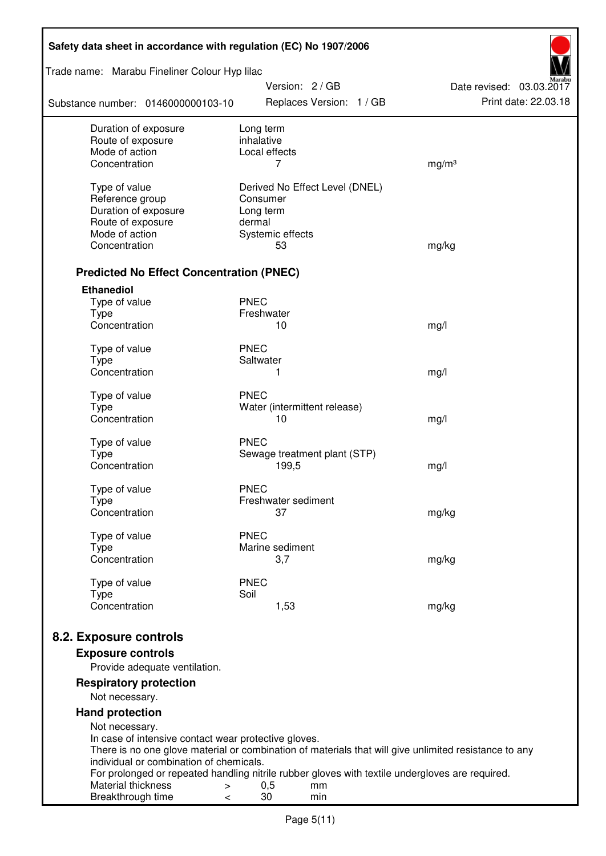| Safety data sheet in accordance with regulation (EC) No 1907/2006 |                                                                                                       |                                                  |  |  |
|-------------------------------------------------------------------|-------------------------------------------------------------------------------------------------------|--------------------------------------------------|--|--|
| Trade name: Marabu Fineliner Colour Hyp lilac                     |                                                                                                       |                                                  |  |  |
| Substance number: 0146000000103-10                                | Version: 2 / GB<br>Replaces Version: 1 / GB                                                           | Date revised: 03.03.2017<br>Print date: 22.03.18 |  |  |
| Duration of exposure<br>Route of exposure                         | Long term<br>inhalative                                                                               |                                                  |  |  |
| Mode of action                                                    | Local effects                                                                                         |                                                  |  |  |
| Concentration                                                     | 7                                                                                                     | mg/m <sup>3</sup>                                |  |  |
| Type of value                                                     | Derived No Effect Level (DNEL)                                                                        |                                                  |  |  |
| Reference group                                                   | Consumer                                                                                              |                                                  |  |  |
| Duration of exposure                                              | Long term                                                                                             |                                                  |  |  |
| Route of exposure                                                 | dermal                                                                                                |                                                  |  |  |
| Mode of action                                                    | Systemic effects                                                                                      |                                                  |  |  |
| Concentration                                                     | 53                                                                                                    | mg/kg                                            |  |  |
| <b>Predicted No Effect Concentration (PNEC)</b>                   |                                                                                                       |                                                  |  |  |
| <b>Ethanediol</b>                                                 |                                                                                                       |                                                  |  |  |
| Type of value                                                     | <b>PNEC</b>                                                                                           |                                                  |  |  |
| <b>Type</b><br>Concentration                                      | Freshwater<br>10                                                                                      |                                                  |  |  |
|                                                                   |                                                                                                       | mg/l                                             |  |  |
| Type of value                                                     | <b>PNEC</b>                                                                                           |                                                  |  |  |
| <b>Type</b>                                                       | Saltwater                                                                                             |                                                  |  |  |
| Concentration                                                     | 1                                                                                                     | mg/l                                             |  |  |
| Type of value                                                     | <b>PNEC</b>                                                                                           |                                                  |  |  |
| <b>Type</b>                                                       | Water (intermittent release)                                                                          |                                                  |  |  |
| Concentration                                                     | 10                                                                                                    | mg/l                                             |  |  |
| Type of value                                                     | <b>PNEC</b>                                                                                           |                                                  |  |  |
| <b>Type</b>                                                       | Sewage treatment plant (STP)                                                                          |                                                  |  |  |
| Concentration                                                     | 199,5                                                                                                 | mg/l                                             |  |  |
| Type of value                                                     | <b>PNEC</b>                                                                                           |                                                  |  |  |
| Type                                                              | Freshwater sediment                                                                                   |                                                  |  |  |
| Concentration                                                     | 37                                                                                                    | mg/kg                                            |  |  |
| Type of value                                                     | <b>PNEC</b>                                                                                           |                                                  |  |  |
| Type<br>Concentration                                             | Marine sediment<br>3,7                                                                                | mg/kg                                            |  |  |
|                                                                   |                                                                                                       |                                                  |  |  |
| Type of value                                                     | <b>PNEC</b>                                                                                           |                                                  |  |  |
| <b>Type</b><br>Concentration                                      | Soil<br>1,53                                                                                          | mg/kg                                            |  |  |
|                                                                   |                                                                                                       |                                                  |  |  |
| 8.2. Exposure controls                                            |                                                                                                       |                                                  |  |  |
| <b>Exposure controls</b>                                          |                                                                                                       |                                                  |  |  |
| Provide adequate ventilation.                                     |                                                                                                       |                                                  |  |  |
| <b>Respiratory protection</b>                                     |                                                                                                       |                                                  |  |  |
| Not necessary.                                                    |                                                                                                       |                                                  |  |  |
| <b>Hand protection</b><br>Not necessary.                          |                                                                                                       |                                                  |  |  |
| In case of intensive contact wear protective gloves.              |                                                                                                       |                                                  |  |  |
|                                                                   | There is no one glove material or combination of materials that will give unlimited resistance to any |                                                  |  |  |
| individual or combination of chemicals.                           | For prolonged or repeated handling nitrile rubber gloves with textile undergloves are required.       |                                                  |  |  |
| Material thickness<br>$\, > \,$                                   | 0,5<br>mm                                                                                             |                                                  |  |  |
| Breakthrough time<br>$\,<\,$                                      | 30<br>min                                                                                             |                                                  |  |  |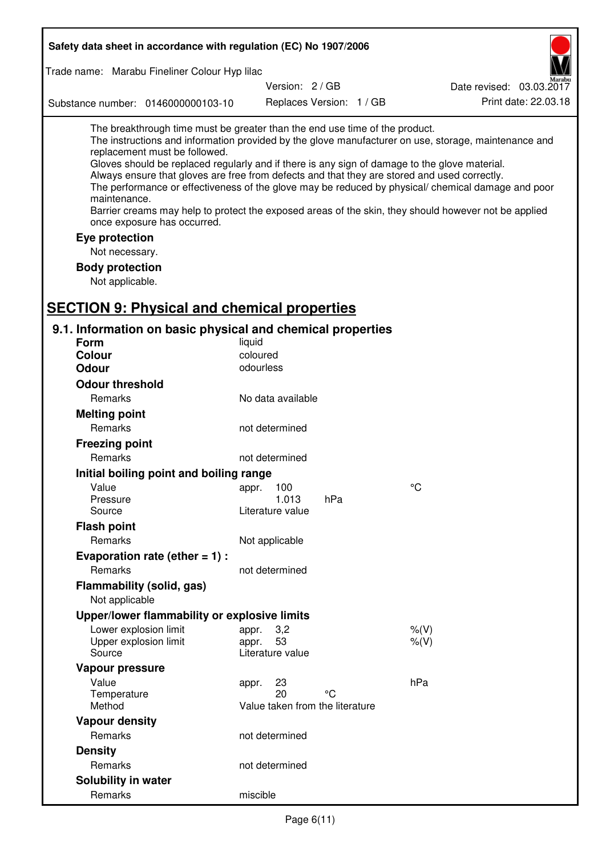| Safety data sheet in accordance with regulation (EC) No 1907/2006                                                                                                                                                                                                                                                                                                                                                                                                                                                                                                                                                                                                                                                                                |                                                      |                 |                          |           |                          |
|--------------------------------------------------------------------------------------------------------------------------------------------------------------------------------------------------------------------------------------------------------------------------------------------------------------------------------------------------------------------------------------------------------------------------------------------------------------------------------------------------------------------------------------------------------------------------------------------------------------------------------------------------------------------------------------------------------------------------------------------------|------------------------------------------------------|-----------------|--------------------------|-----------|--------------------------|
| Trade name: Marabu Fineliner Colour Hyp lilac                                                                                                                                                                                                                                                                                                                                                                                                                                                                                                                                                                                                                                                                                                    |                                                      |                 |                          |           |                          |
|                                                                                                                                                                                                                                                                                                                                                                                                                                                                                                                                                                                                                                                                                                                                                  |                                                      | Version: 2 / GB |                          |           | Date revised: 03.03.2017 |
| Substance number: 0146000000103-10                                                                                                                                                                                                                                                                                                                                                                                                                                                                                                                                                                                                                                                                                                               |                                                      |                 | Replaces Version: 1 / GB |           | Print date: 22.03.18     |
| The breakthrough time must be greater than the end use time of the product.<br>The instructions and information provided by the glove manufacturer on use, storage, maintenance and<br>replacement must be followed.<br>Gloves should be replaced regularly and if there is any sign of damage to the glove material.<br>Always ensure that gloves are free from defects and that they are stored and used correctly.<br>The performance or effectiveness of the glove may be reduced by physical/ chemical damage and poor<br>maintenance.<br>Barrier creams may help to protect the exposed areas of the skin, they should however not be applied<br>once exposure has occurred.<br>Eye protection<br>Not necessary.<br><b>Body protection</b> |                                                      |                 |                          |           |                          |
| Not applicable.                                                                                                                                                                                                                                                                                                                                                                                                                                                                                                                                                                                                                                                                                                                                  |                                                      |                 |                          |           |                          |
| <b>SECTION 9: Physical and chemical properties</b><br>9.1. Information on basic physical and chemical properties                                                                                                                                                                                                                                                                                                                                                                                                                                                                                                                                                                                                                                 |                                                      |                 |                          |           |                          |
| <b>Form</b>                                                                                                                                                                                                                                                                                                                                                                                                                                                                                                                                                                                                                                                                                                                                      | liquid                                               |                 |                          |           |                          |
| <b>Colour</b>                                                                                                                                                                                                                                                                                                                                                                                                                                                                                                                                                                                                                                                                                                                                    | coloured                                             |                 |                          |           |                          |
| <b>Odour</b>                                                                                                                                                                                                                                                                                                                                                                                                                                                                                                                                                                                                                                                                                                                                     | odourless                                            |                 |                          |           |                          |
| <b>Odour threshold</b>                                                                                                                                                                                                                                                                                                                                                                                                                                                                                                                                                                                                                                                                                                                           |                                                      |                 |                          |           |                          |
| Remarks                                                                                                                                                                                                                                                                                                                                                                                                                                                                                                                                                                                                                                                                                                                                          | No data available                                    |                 |                          |           |                          |
| <b>Melting point</b>                                                                                                                                                                                                                                                                                                                                                                                                                                                                                                                                                                                                                                                                                                                             |                                                      |                 |                          |           |                          |
| Remarks                                                                                                                                                                                                                                                                                                                                                                                                                                                                                                                                                                                                                                                                                                                                          | not determined                                       |                 |                          |           |                          |
| <b>Freezing point</b>                                                                                                                                                                                                                                                                                                                                                                                                                                                                                                                                                                                                                                                                                                                            |                                                      |                 |                          |           |                          |
| Remarks                                                                                                                                                                                                                                                                                                                                                                                                                                                                                                                                                                                                                                                                                                                                          | not determined                                       |                 |                          |           |                          |
| Initial boiling point and boiling range                                                                                                                                                                                                                                                                                                                                                                                                                                                                                                                                                                                                                                                                                                          |                                                      |                 |                          |           |                          |
| Value                                                                                                                                                                                                                                                                                                                                                                                                                                                                                                                                                                                                                                                                                                                                            | 100<br>appr.<br>1.013                                |                 | hPa                      | °C        |                          |
| Pressure<br>Source                                                                                                                                                                                                                                                                                                                                                                                                                                                                                                                                                                                                                                                                                                                               | Literature value                                     |                 |                          |           |                          |
| <b>Flash point</b>                                                                                                                                                                                                                                                                                                                                                                                                                                                                                                                                                                                                                                                                                                                               |                                                      |                 |                          |           |                          |
| Remarks                                                                                                                                                                                                                                                                                                                                                                                                                                                                                                                                                                                                                                                                                                                                          | Not applicable                                       |                 |                          |           |                          |
| Evaporation rate (ether $= 1$ ) :                                                                                                                                                                                                                                                                                                                                                                                                                                                                                                                                                                                                                                                                                                                |                                                      |                 |                          |           |                          |
| Remarks                                                                                                                                                                                                                                                                                                                                                                                                                                                                                                                                                                                                                                                                                                                                          | not determined                                       |                 |                          |           |                          |
| Flammability (solid, gas)<br>Not applicable                                                                                                                                                                                                                                                                                                                                                                                                                                                                                                                                                                                                                                                                                                      |                                                      |                 |                          |           |                          |
| Upper/lower flammability or explosive limits                                                                                                                                                                                                                                                                                                                                                                                                                                                                                                                                                                                                                                                                                                     |                                                      |                 |                          |           |                          |
| Lower explosion limit                                                                                                                                                                                                                                                                                                                                                                                                                                                                                                                                                                                                                                                                                                                            | 3,2<br>appr.                                         |                 |                          | $%$ (V)   |                          |
| Upper explosion limit                                                                                                                                                                                                                                                                                                                                                                                                                                                                                                                                                                                                                                                                                                                            | 53<br>appr.                                          |                 |                          | $%$ $(V)$ |                          |
| Source                                                                                                                                                                                                                                                                                                                                                                                                                                                                                                                                                                                                                                                                                                                                           | Literature value                                     |                 |                          |           |                          |
| Vapour pressure                                                                                                                                                                                                                                                                                                                                                                                                                                                                                                                                                                                                                                                                                                                                  |                                                      |                 |                          |           |                          |
| Value<br>Temperature<br>Method                                                                                                                                                                                                                                                                                                                                                                                                                                                                                                                                                                                                                                                                                                                   | 23<br>appr.<br>20<br>Value taken from the literature |                 | °C                       | hPa       |                          |
| <b>Vapour density</b>                                                                                                                                                                                                                                                                                                                                                                                                                                                                                                                                                                                                                                                                                                                            |                                                      |                 |                          |           |                          |
| Remarks                                                                                                                                                                                                                                                                                                                                                                                                                                                                                                                                                                                                                                                                                                                                          | not determined                                       |                 |                          |           |                          |
| <b>Density</b>                                                                                                                                                                                                                                                                                                                                                                                                                                                                                                                                                                                                                                                                                                                                   |                                                      |                 |                          |           |                          |
| Remarks                                                                                                                                                                                                                                                                                                                                                                                                                                                                                                                                                                                                                                                                                                                                          | not determined                                       |                 |                          |           |                          |
| <b>Solubility in water</b>                                                                                                                                                                                                                                                                                                                                                                                                                                                                                                                                                                                                                                                                                                                       |                                                      |                 |                          |           |                          |
| Remarks                                                                                                                                                                                                                                                                                                                                                                                                                                                                                                                                                                                                                                                                                                                                          | miscible                                             |                 |                          |           |                          |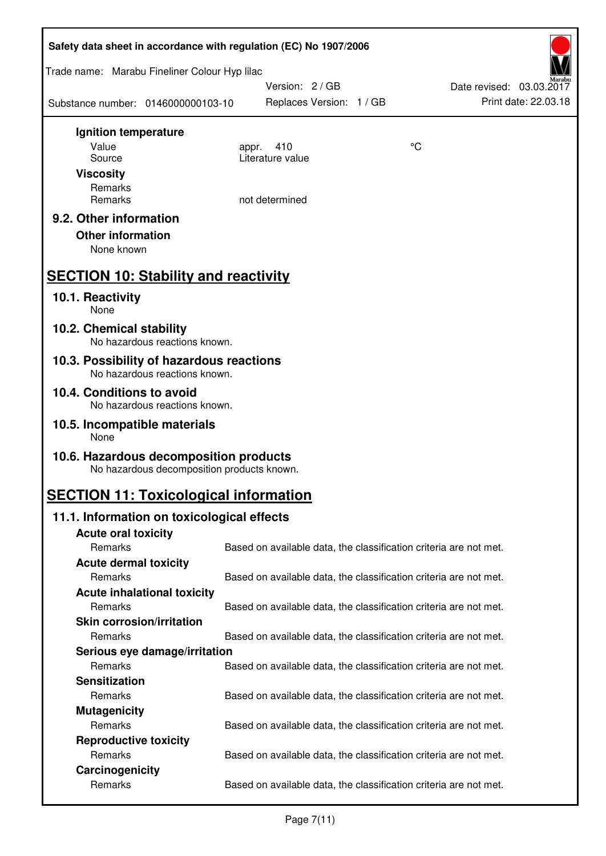| Safety data sheet in accordance with regulation (EC) No 1907/2006                    |                                                                   |    |                                                  |  |  |
|--------------------------------------------------------------------------------------|-------------------------------------------------------------------|----|--------------------------------------------------|--|--|
| Trade name: Marabu Fineliner Colour Hyp lilac                                        |                                                                   |    |                                                  |  |  |
| Substance number: 0146000000103-10                                                   | Version: 2 / GB<br>Replaces Version: 1 / GB                       |    | Date revised: 03.03.2017<br>Print date: 22.03.18 |  |  |
| Ignition temperature                                                                 |                                                                   |    |                                                  |  |  |
| Value                                                                                | 410<br>appr.                                                      | °C |                                                  |  |  |
| Source<br><b>Viscosity</b>                                                           | Literature value                                                  |    |                                                  |  |  |
| Remarks                                                                              |                                                                   |    |                                                  |  |  |
| Remarks                                                                              | not determined                                                    |    |                                                  |  |  |
| 9.2. Other information<br><b>Other information</b><br>None known                     |                                                                   |    |                                                  |  |  |
| <b>SECTION 10: Stability and reactivity</b>                                          |                                                                   |    |                                                  |  |  |
| 10.1. Reactivity<br>None                                                             |                                                                   |    |                                                  |  |  |
| 10.2. Chemical stability<br>No hazardous reactions known.                            |                                                                   |    |                                                  |  |  |
| 10.3. Possibility of hazardous reactions<br>No hazardous reactions known.            |                                                                   |    |                                                  |  |  |
| 10.4. Conditions to avoid<br>No hazardous reactions known.                           |                                                                   |    |                                                  |  |  |
| 10.5. Incompatible materials<br>None                                                 |                                                                   |    |                                                  |  |  |
| 10.6. Hazardous decomposition products<br>No hazardous decomposition products known. |                                                                   |    |                                                  |  |  |
| <b>SECTION 11: Toxicological information</b>                                         |                                                                   |    |                                                  |  |  |
| 11.1. Information on toxicological effects                                           |                                                                   |    |                                                  |  |  |
| <b>Acute oral toxicity</b>                                                           |                                                                   |    |                                                  |  |  |
| Remarks                                                                              | Based on available data, the classification criteria are not met. |    |                                                  |  |  |
| <b>Acute dermal toxicity</b>                                                         |                                                                   |    |                                                  |  |  |
| Remarks                                                                              | Based on available data, the classification criteria are not met. |    |                                                  |  |  |
| <b>Acute inhalational toxicity</b><br>Remarks                                        | Based on available data, the classification criteria are not met. |    |                                                  |  |  |
| <b>Skin corrosion/irritation</b>                                                     |                                                                   |    |                                                  |  |  |
| Remarks                                                                              | Based on available data, the classification criteria are not met. |    |                                                  |  |  |
| Serious eye damage/irritation                                                        |                                                                   |    |                                                  |  |  |
| Remarks                                                                              | Based on available data, the classification criteria are not met. |    |                                                  |  |  |
| <b>Sensitization</b>                                                                 |                                                                   |    |                                                  |  |  |
| Remarks                                                                              | Based on available data, the classification criteria are not met. |    |                                                  |  |  |
| <b>Mutagenicity</b>                                                                  |                                                                   |    |                                                  |  |  |
| Remarks                                                                              | Based on available data, the classification criteria are not met. |    |                                                  |  |  |
| <b>Reproductive toxicity</b><br>Remarks                                              | Based on available data, the classification criteria are not met. |    |                                                  |  |  |
| Carcinogenicity                                                                      |                                                                   |    |                                                  |  |  |
| Remarks                                                                              | Based on available data, the classification criteria are not met. |    |                                                  |  |  |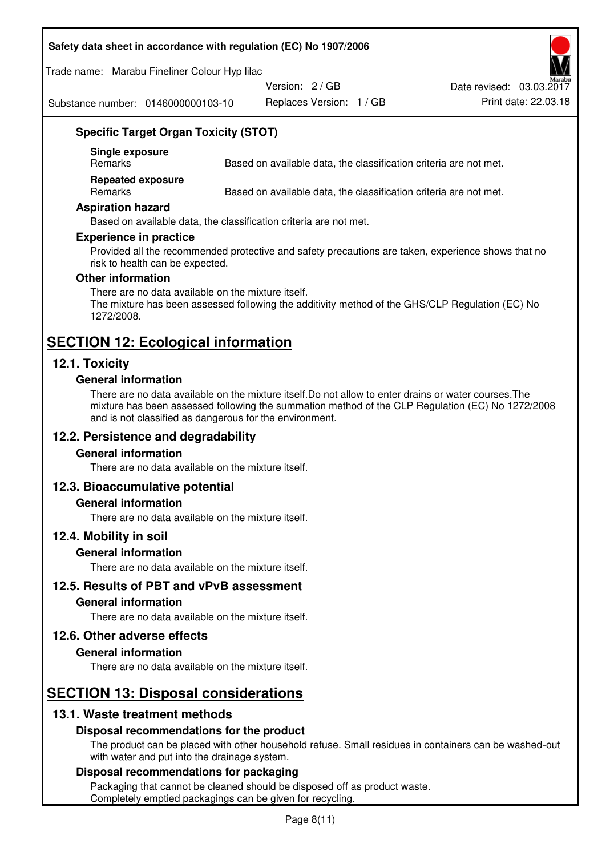#### **Safety data sheet in accordance with regulation (EC) No 1907/2006**

Trade name: Marabu Fineliner Colour Hyp lilac

Version: 2 / GB

Date revised: 03.03.2017

Substance number: 0146000000103-10

Replaces Version: 1 / GB Print date: 22.03.18

## **Specific Target Organ Toxicity (STOT)**

**Single exposure** 

Based on available data, the classification criteria are not met.

**Repeated exposure** 

Remarks Based on available data, the classification criteria are not met.

#### **Aspiration hazard**

Based on available data, the classification criteria are not met.

#### **Experience in practice**

Provided all the recommended protective and safety precautions are taken, experience shows that no risk to health can be expected.

#### **Other information**

There are no data available on the mixture itself. The mixture has been assessed following the additivity method of the GHS/CLP Regulation (EC) No 1272/2008.

## **SECTION 12: Ecological information**

#### **12.1. Toxicity**

#### **General information**

There are no data available on the mixture itself.Do not allow to enter drains or water courses.The mixture has been assessed following the summation method of the CLP Regulation (EC) No 1272/2008 and is not classified as dangerous for the environment.

#### **12.2. Persistence and degradability**

#### **General information**

There are no data available on the mixture itself.

#### **12.3. Bioaccumulative potential**

#### **General information**

There are no data available on the mixture itself.

#### **12.4. Mobility in soil**

#### **General information**

There are no data available on the mixture itself.

**12.5. Results of PBT and vPvB assessment** 

#### **General information**

There are no data available on the mixture itself.

#### **12.6. Other adverse effects**

#### **General information**

There are no data available on the mixture itself.

# **SECTION 13: Disposal considerations**

#### **13.1. Waste treatment methods**

#### **Disposal recommendations for the product**

The product can be placed with other household refuse. Small residues in containers can be washed-out with water and put into the drainage system.

#### **Disposal recommendations for packaging**

Packaging that cannot be cleaned should be disposed off as product waste. Completely emptied packagings can be given for recycling.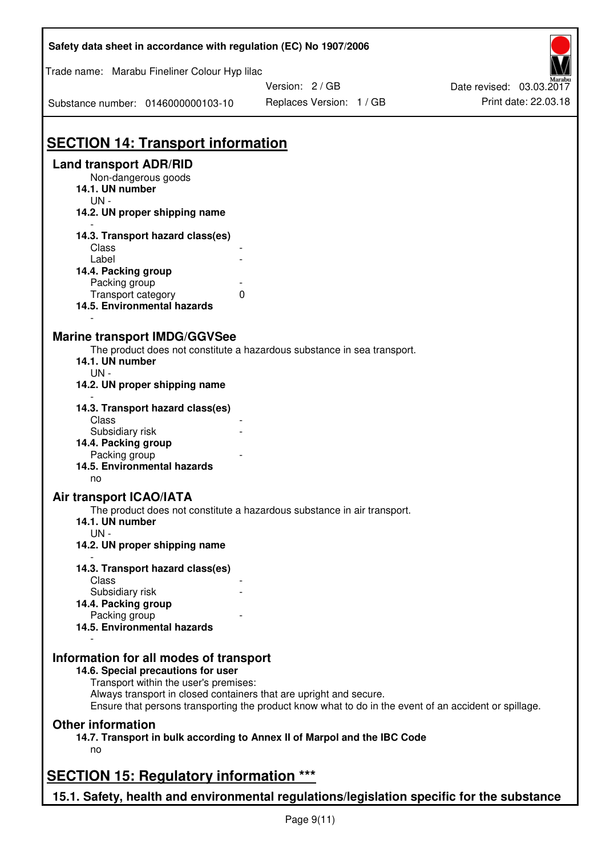| Safety data sheet in accordance with regulation (EC) No 1907/2006                                                                                                                                                                                                                            |                                                                                                                                                    |                          |
|----------------------------------------------------------------------------------------------------------------------------------------------------------------------------------------------------------------------------------------------------------------------------------------------|----------------------------------------------------------------------------------------------------------------------------------------------------|--------------------------|
| Trade name: Marabu Fineliner Colour Hyp lilac                                                                                                                                                                                                                                                | Version: 2/GB                                                                                                                                      | Date revised: 03.03.2017 |
| Substance number: 0146000000103-10                                                                                                                                                                                                                                                           | Replaces Version: 1 / GB                                                                                                                           | Print date: 22.03.18     |
|                                                                                                                                                                                                                                                                                              |                                                                                                                                                    |                          |
|                                                                                                                                                                                                                                                                                              |                                                                                                                                                    |                          |
| <b>SECTION 14: Transport information</b>                                                                                                                                                                                                                                                     |                                                                                                                                                    |                          |
| <b>Land transport ADR/RID</b><br>Non-dangerous goods                                                                                                                                                                                                                                         |                                                                                                                                                    |                          |
| 14.1. UN number                                                                                                                                                                                                                                                                              |                                                                                                                                                    |                          |
| UN-                                                                                                                                                                                                                                                                                          |                                                                                                                                                    |                          |
| 14.2. UN proper shipping name                                                                                                                                                                                                                                                                |                                                                                                                                                    |                          |
| 14.3. Transport hazard class(es)                                                                                                                                                                                                                                                             |                                                                                                                                                    |                          |
| Class                                                                                                                                                                                                                                                                                        |                                                                                                                                                    |                          |
| Label<br>14.4. Packing group                                                                                                                                                                                                                                                                 |                                                                                                                                                    |                          |
| Packing group                                                                                                                                                                                                                                                                                |                                                                                                                                                    |                          |
| Transport category                                                                                                                                                                                                                                                                           | 0                                                                                                                                                  |                          |
| 14.5. Environmental hazards                                                                                                                                                                                                                                                                  |                                                                                                                                                    |                          |
| <b>Marine transport IMDG/GGVSee</b><br>14.1. UN number<br>$UN -$<br>14.2. UN proper shipping name<br>14.3. Transport hazard class(es)<br>Class<br>Subsidiary risk<br>14.4. Packing group<br>Packing group<br>14.5. Environmental hazards<br>no<br>Air transport ICAO/IATA<br>14.1. UN number | The product does not constitute a hazardous substance in sea transport.<br>The product does not constitute a hazardous substance in air transport. |                          |
| $UN -$                                                                                                                                                                                                                                                                                       |                                                                                                                                                    |                          |
| 14.2. UN proper shipping name                                                                                                                                                                                                                                                                |                                                                                                                                                    |                          |
| 14.3. Transport hazard class(es)                                                                                                                                                                                                                                                             |                                                                                                                                                    |                          |
| Class                                                                                                                                                                                                                                                                                        |                                                                                                                                                    |                          |
| Subsidiary risk<br>14.4. Packing group                                                                                                                                                                                                                                                       |                                                                                                                                                    |                          |
| Packing group                                                                                                                                                                                                                                                                                |                                                                                                                                                    |                          |
| 14.5. Environmental hazards                                                                                                                                                                                                                                                                  |                                                                                                                                                    |                          |
| Information for all modes of transport<br>14.6. Special precautions for user<br>Transport within the user's premises:<br>Always transport in closed containers that are upright and secure.<br><b>Other information</b>                                                                      | Ensure that persons transporting the product know what to do in the event of an accident or spillage.                                              |                          |
| no                                                                                                                                                                                                                                                                                           | 14.7. Transport in bulk according to Annex II of Marpol and the IBC Code                                                                           |                          |
| <b>SECTION 15: Regulatory information ***</b>                                                                                                                                                                                                                                                |                                                                                                                                                    |                          |
|                                                                                                                                                                                                                                                                                              | 15.1. Safety, health and environmental regulations/legislation specific for the substance                                                          |                          |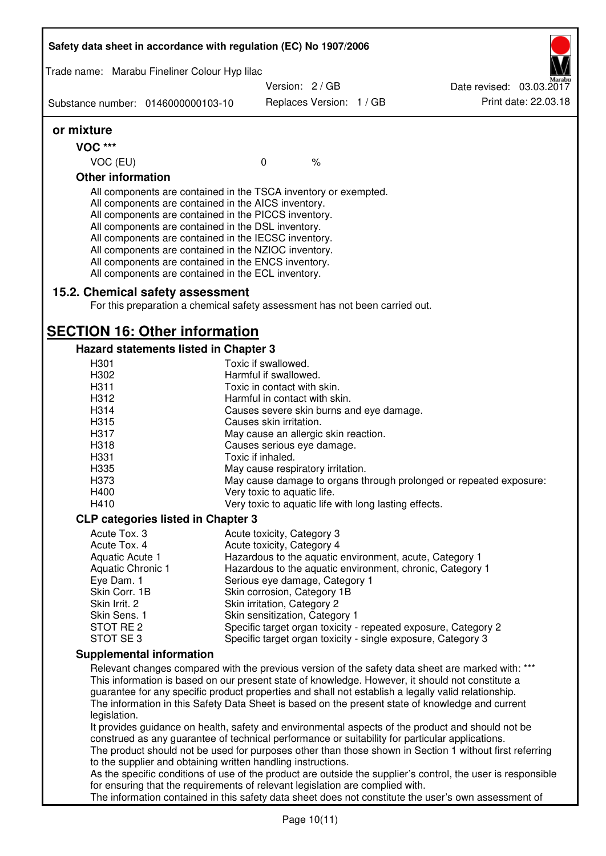| Trade name: Marabu Fineliner Colour Hyp lilac                                                                                                                                                                                                                                                                                                                                                                                                                     |                                                       |                          |                                                                                                                                                                                                                                                                                                                                                                                                                  |
|-------------------------------------------------------------------------------------------------------------------------------------------------------------------------------------------------------------------------------------------------------------------------------------------------------------------------------------------------------------------------------------------------------------------------------------------------------------------|-------------------------------------------------------|--------------------------|------------------------------------------------------------------------------------------------------------------------------------------------------------------------------------------------------------------------------------------------------------------------------------------------------------------------------------------------------------------------------------------------------------------|
|                                                                                                                                                                                                                                                                                                                                                                                                                                                                   |                                                       | Version: 2 / GB          | Date revised: 03.03.2017                                                                                                                                                                                                                                                                                                                                                                                         |
| Substance number: 0146000000103-10                                                                                                                                                                                                                                                                                                                                                                                                                                |                                                       | Replaces Version: 1 / GB | Print date: 22.03.18                                                                                                                                                                                                                                                                                                                                                                                             |
| or mixture                                                                                                                                                                                                                                                                                                                                                                                                                                                        |                                                       |                          |                                                                                                                                                                                                                                                                                                                                                                                                                  |
| <b>VOC ***</b>                                                                                                                                                                                                                                                                                                                                                                                                                                                    |                                                       |                          |                                                                                                                                                                                                                                                                                                                                                                                                                  |
| VOC (EU)                                                                                                                                                                                                                                                                                                                                                                                                                                                          | $\mathbf{0}$                                          | $\%$                     |                                                                                                                                                                                                                                                                                                                                                                                                                  |
| <b>Other information</b>                                                                                                                                                                                                                                                                                                                                                                                                                                          |                                                       |                          |                                                                                                                                                                                                                                                                                                                                                                                                                  |
| All components are contained in the TSCA inventory or exempted.<br>All components are contained in the AICS inventory.<br>All components are contained in the PICCS inventory.<br>All components are contained in the DSL inventory.<br>All components are contained in the IECSC inventory.<br>All components are contained in the NZIOC inventory.<br>All components are contained in the ENCS inventory.<br>All components are contained in the ECL inventory. |                                                       |                          |                                                                                                                                                                                                                                                                                                                                                                                                                  |
| 15.2. Chemical safety assessment<br>For this preparation a chemical safety assessment has not been carried out.                                                                                                                                                                                                                                                                                                                                                   |                                                       |                          |                                                                                                                                                                                                                                                                                                                                                                                                                  |
|                                                                                                                                                                                                                                                                                                                                                                                                                                                                   |                                                       |                          |                                                                                                                                                                                                                                                                                                                                                                                                                  |
| <b>SECTION 16: Other information</b>                                                                                                                                                                                                                                                                                                                                                                                                                              |                                                       |                          |                                                                                                                                                                                                                                                                                                                                                                                                                  |
| <b>Hazard statements listed in Chapter 3</b>                                                                                                                                                                                                                                                                                                                                                                                                                      |                                                       |                          |                                                                                                                                                                                                                                                                                                                                                                                                                  |
| H301<br>H302                                                                                                                                                                                                                                                                                                                                                                                                                                                      | Toxic if swallowed.<br>Harmful if swallowed.          |                          |                                                                                                                                                                                                                                                                                                                                                                                                                  |
| H311                                                                                                                                                                                                                                                                                                                                                                                                                                                              | Toxic in contact with skin.                           |                          |                                                                                                                                                                                                                                                                                                                                                                                                                  |
| H312                                                                                                                                                                                                                                                                                                                                                                                                                                                              | Harmful in contact with skin.                         |                          |                                                                                                                                                                                                                                                                                                                                                                                                                  |
| H314                                                                                                                                                                                                                                                                                                                                                                                                                                                              | Causes severe skin burns and eye damage.              |                          |                                                                                                                                                                                                                                                                                                                                                                                                                  |
| H315                                                                                                                                                                                                                                                                                                                                                                                                                                                              | Causes skin irritation.                               |                          |                                                                                                                                                                                                                                                                                                                                                                                                                  |
| H317                                                                                                                                                                                                                                                                                                                                                                                                                                                              | May cause an allergic skin reaction.                  |                          |                                                                                                                                                                                                                                                                                                                                                                                                                  |
| H318                                                                                                                                                                                                                                                                                                                                                                                                                                                              | Causes serious eye damage.                            |                          |                                                                                                                                                                                                                                                                                                                                                                                                                  |
| H331                                                                                                                                                                                                                                                                                                                                                                                                                                                              | Toxic if inhaled.                                     |                          |                                                                                                                                                                                                                                                                                                                                                                                                                  |
| H335                                                                                                                                                                                                                                                                                                                                                                                                                                                              | May cause respiratory irritation.                     |                          |                                                                                                                                                                                                                                                                                                                                                                                                                  |
| H373                                                                                                                                                                                                                                                                                                                                                                                                                                                              |                                                       |                          | May cause damage to organs through prolonged or repeated exposure:                                                                                                                                                                                                                                                                                                                                               |
| H400                                                                                                                                                                                                                                                                                                                                                                                                                                                              | Very toxic to aquatic life.                           |                          |                                                                                                                                                                                                                                                                                                                                                                                                                  |
| H410                                                                                                                                                                                                                                                                                                                                                                                                                                                              | Very toxic to aquatic life with long lasting effects. |                          |                                                                                                                                                                                                                                                                                                                                                                                                                  |
| <b>CLP categories listed in Chapter 3</b>                                                                                                                                                                                                                                                                                                                                                                                                                         |                                                       |                          |                                                                                                                                                                                                                                                                                                                                                                                                                  |
| Acute Tox. 3                                                                                                                                                                                                                                                                                                                                                                                                                                                      | Acute toxicity, Category 3                            |                          |                                                                                                                                                                                                                                                                                                                                                                                                                  |
| Acute Tox. 4                                                                                                                                                                                                                                                                                                                                                                                                                                                      | Acute toxicity, Category 4                            |                          |                                                                                                                                                                                                                                                                                                                                                                                                                  |
| Aquatic Acute 1                                                                                                                                                                                                                                                                                                                                                                                                                                                   |                                                       |                          | Hazardous to the aquatic environment, acute, Category 1                                                                                                                                                                                                                                                                                                                                                          |
| Aquatic Chronic 1                                                                                                                                                                                                                                                                                                                                                                                                                                                 |                                                       |                          | Hazardous to the aquatic environment, chronic, Category 1                                                                                                                                                                                                                                                                                                                                                        |
| Eye Dam. 1                                                                                                                                                                                                                                                                                                                                                                                                                                                        | Serious eye damage, Category 1                        |                          |                                                                                                                                                                                                                                                                                                                                                                                                                  |
| Skin Corr. 1B                                                                                                                                                                                                                                                                                                                                                                                                                                                     | Skin corrosion, Category 1B                           |                          |                                                                                                                                                                                                                                                                                                                                                                                                                  |
| Skin Irrit. 2                                                                                                                                                                                                                                                                                                                                                                                                                                                     | Skin irritation, Category 2                           |                          |                                                                                                                                                                                                                                                                                                                                                                                                                  |
| Skin Sens. 1                                                                                                                                                                                                                                                                                                                                                                                                                                                      | Skin sensitization, Category 1                        |                          |                                                                                                                                                                                                                                                                                                                                                                                                                  |
| STOT RE 2                                                                                                                                                                                                                                                                                                                                                                                                                                                         |                                                       |                          | Specific target organ toxicity - repeated exposure, Category 2                                                                                                                                                                                                                                                                                                                                                   |
| STOT SE 3                                                                                                                                                                                                                                                                                                                                                                                                                                                         |                                                       |                          | Specific target organ toxicity - single exposure, Category 3                                                                                                                                                                                                                                                                                                                                                     |
| <b>Supplemental information</b>                                                                                                                                                                                                                                                                                                                                                                                                                                   |                                                       |                          |                                                                                                                                                                                                                                                                                                                                                                                                                  |
|                                                                                                                                                                                                                                                                                                                                                                                                                                                                   |                                                       |                          | Relevant changes compared with the previous version of the safety data sheet are marked with: ***<br>This information is based on our present state of knowledge. However, it should not constitute a<br>guarantee for any specific product properties and shall not establish a legally valid relationship.<br>The information in this Safety Data Sheet is based on the present state of knowledge and current |
| legislation.<br>construed as any guarantee of technical performance or suitability for particular applications.<br>to the supplier and obtaining written handling instructions.                                                                                                                                                                                                                                                                                   |                                                       |                          | It provides guidance on health, safety and environmental aspects of the product and should not be<br>The product should not be used for purposes other than those shown in Section 1 without first referring                                                                                                                                                                                                     |
| for ensuring that the requirements of relevant legislation are complied with.                                                                                                                                                                                                                                                                                                                                                                                     |                                                       |                          | As the specific conditions of use of the product are outside the supplier's control, the user is responsible<br>The information contained in this safety data sheet does not constitute the user's own assessment of                                                                                                                                                                                             |